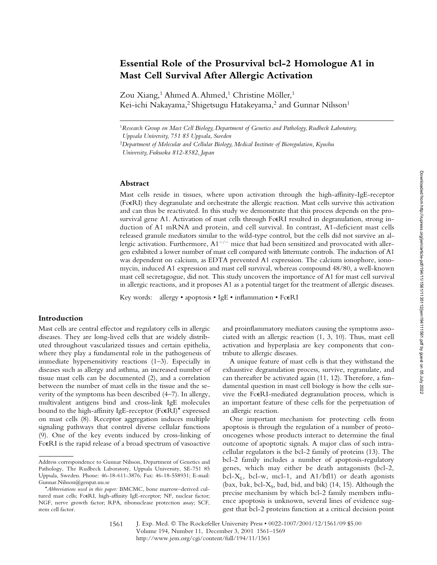# **Essential Role of the Prosurvival bcl-2 Homologue A1 in Mast Cell Survival After Allergic Activation**

Zou Xiang,<sup>1</sup> Ahmed A. Ahmed,<sup>1</sup> Christine Möller,<sup>1</sup> Kei-ichi Nakayama,<sup>2</sup> Shigetsugu Hatakeyama,<sup>2</sup> and Gunnar Nilsson<sup>1</sup>

## **Abstract**

Mast cells reside in tissues, where upon activation through the high-affinity-IgE-receptor (FcERI) they degranulate and orchestrate the allergic reaction. Mast cells survive this activation and can thus be reactivated. In this study we demonstrate that this process depends on the prosurvival gene A1. Activation of mast cells through FceRI resulted in degranulation, strong induction of A1 mRNA and protein, and cell survival. In contrast, A1-deficient mast cells released granule mediators similar to the wild-type control, but the cells did not survive an allergic activation. Furthermore,  $A1^{-/-}$  mice that had been sensitized and provocated with allergen exhibited a lower number of mast cell compared with littermate controls. The induction of A1 was dependent on calcium, as EDTA prevented A1 expression. The calcium ionophore, ionomycin, induced A1 expression and mast cell survival, whereas compound 48/80, a well-known mast cell secretagogue, did not. This study uncovers the importance of A1 for mast cell survival in allergic reactions, and it proposes A1 as a potential target for the treatment of allergic diseases.

Key words: allergy • apoptosis • IgE • inflammation • FcERI

## **Introduction**

Mast cells are central effector and regulatory cells in allergic diseases. They are long-lived cells that are widely distributed throughout vascularized tissues and certain epithelia, where they play a fundamental role in the pathogenesis of immediate hypersensitivity reactions (1–3). Especially in diseases such as allergy and asthma, an increased number of tissue mast cells can be documented (2), and a correlation between the number of mast cells in the tissue and the severity of the symptoms has been described (4–7). In allergy, multivalent antigens bind and cross-link IgE molecules bound to the high-affinity IgE-receptor (FceRI)\* expressed on mast cells (8). Receptor aggregation induces multiple signaling pathways that control diverse cellular functions (9). One of the key events induced by cross-linking of FceRI is the rapid release of a broad spectrum of vasoactive

and proinflammatory mediators causing the symptoms associated with an allergic reaction (1, 3, 10). Thus, mast cell activation and hyperplasia are key components that contribute to allergic diseases.

A unique feature of mast cells is that they withstand the exhaustive degranulation process, survive, regranulate, and can thereafter be activated again (11, 12). Therefore, a fundamental question in mast cell biology is how the cells survive the FcERI-mediated degranulation process, which is an important feature of these cells for the perpetuation of an allergic reaction.

One important mechanism for protecting cells from apoptosis is through the regulation of a number of protooncogenes whose products interact to determine the final outcome of apoptotic signals. A major class of such intracellular regulators is the bcl-2 family of proteins (13). The bcl-2 family includes a number of apoptosis-regulatory genes, which may either be death antagonists (bcl-2, bcl- $X_L$ , bcl-w, mcl-1, and A1/bfl1) or death agonists (bax, bak, bcl- $X_s$ , bad, bid, and bik) (14, 15). Although the precise mechanism by which bcl-2 family members influence apoptosis is unknown, several lines of evidence suggest that bcl-2 proteins function at a critical decision point

J. Exp. Med. © The Rockefeller University Press • 0022-1007/2001/12/1561/09 \$5.00 Volume 194, Number 11, December 3, 2001 1561–1569 http://www.jem.org/cgi/content/full/194/11/1561 1561

<sup>1</sup>*Research Group on Mast Cell Biology, Department of Genetics and Pathology, Rudbeck Laboratory,* 

*Uppsala University, 751 85 Uppsala, Sweden*

<sup>2</sup>*Department of Molecular and Cellular Biology, Medical Institute of Bioregulation, Kyushu University, Fukuoka 812-8582, Japan*

Address correspondence to Gunnar Nilsson, Department of Genetics and Pathology, The Rudbeck Laboratory, Uppsala University, SE-751 85 Uppsala, Sweden. Phone: 46-18-611-3876; Fax: 46-18-558931; E-mail: Gunnar.Nilsson@genpat.uu.se

<sup>\*</sup>*Abbreviations used in this paper:* BMCMC, bone marrow–derived cultured mast cells; FceRI, high-affinity IgE-receptor; NF, nuclear factor; NGF, nerve growth factor; RPA, ribonuclease protection assay; SCF, stem cell factor.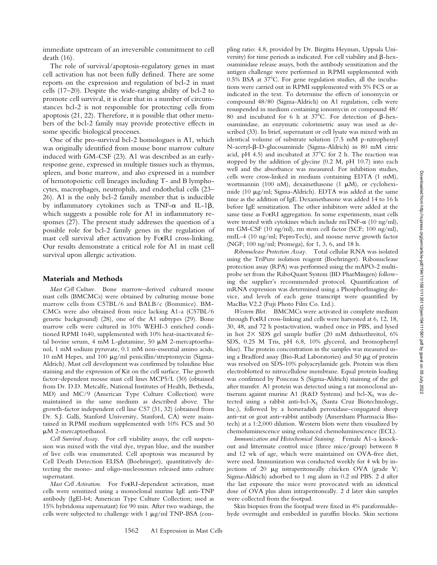immediate upstream of an irreversible commitment to cell death (16).

The role of survival/apoptosis-regulatory genes in mast cell activation has not been fully defined. There are some reports on the expression and regulation of bcl-2 in mast cells (17–20). Despite the wide-ranging ability of bcl-2 to promote cell survival, it is clear that in a number of circumstances bcl-2 is not responsible for protecting cells from apoptosis (21, 22). Therefore, it is possible that other members of the bcl-2 family may provide protective effects in some specific biological processes.

One of the pro-survival bcl-2 homologues is A1, which was originally identified from mouse bone marrow culture induced with GM-CSF (23). A1 was described as an earlyresponse gene, expressed in multiple tissues such as thymus, spleen, and bone marrow, and also expressed in a number of hemotopoietic cell lineages including T- and B lymphocytes, macrophages, neutrophils, and endothelial cells (23– 26). A1 is the only bcl-2 family member that is inducible by inflammatory cytokines such as  $TNF-\alpha$  and IL-1 $\beta$ , which suggests a possible role for A1 in inflammatory responses (27). The present study addresses the question of a possible role for bcl-2 family genes in the regulation of mast cell survival after activation by FcERI cross-linking. Our results demonstrate a critical role for A1 in mast cell survival upon allergic activation.

#### **Materials and Methods**

*Mast Cell Culture.* Bone marrow–derived cultured mouse mast cells (BMCMCs) were obtained by culturing mouse bone marrow cells from C57BL/6 and BALB/c (Bommice). BM-CMCs were also obtained from mice lacking A1-a (C57BL/6 genetic background) (28), one of the A1 subtypes (29). Bone marrow cells were cultured in 10% WEHI-3 enriched conditioned RPMI 1640, supplemented with 10% heat-inactivated fetal bovine serum, 4 mM L-glutamine, 50  $\mu$ M 2-mercaptoethanol, 1 mM sodium pyruvate, 0.1 mM non-essential amino acids, 10 mM Hepes, and 100  $\mu$ g/ml penicillin/streptomycin (Sigma-Aldrich). Mast cell development was confirmed by toluidine blue staining and the expression of Kit on the cell surface. The growth factor–dependent mouse mast cell lines MCP5/L (30) (obtained from Dr. D.D. Metcalfe, National Institutes of Health, Bethesda, MD) and MC/9 (American Type Culture Collection) were maintained in the same medium as described above. The growth-factor independent cell line C57 (31, 32) (obtained from Dr. S.J. Galli, Stanford University, Stanford, CA) were maintained in RPMI medium supplemented with 10% FCS and 50 M 2-mercaptoethanol.

*Cell Survival Assay.* For cell viability assays, the cell suspension was mixed with the vital dye, trypan blue, and the number of live cells was enumerated. Cell apoptosis was measured by Cell Death Detection ELISA (Boehringer), quantitatively detecting the mono- and oligo-nucleosomes released into culture supernatant.

Mast Cell Activation. For FceRI-dependent activation, mast cells were sensitized using a monoclonal murine IgE anti-TNP antibody (IgEl-b4; American Type Culture Collection; used as 15% hybridoma supernatant) for 90 min. After two washings, the cells were subjected to challenge with  $1 \mu g/ml$  TNP-BSA (coupling ratio: 4.8, provided by Dr. Birgitta Heyman, Uppsala University) for time periods as indicated. For cell viability and  $\beta$ -hexosaminidase release assays, both the antibody sensitization and the antigen challenge were performed in RPMI supplemented with  $0.5\%$  BSA at  $37^{\circ}$ C. For gene regulation studies, all the incubations were carried out in RPMI supplemented with 5% FCS or as indicated in the text. To determine the effects of ionomycin or compound 48/80 (Sigma-Aldrich) on A1 regulation, cells were resuspended in medium containing ionomycin or compound 48/ 80 and incubated for 6 h at 37 $^{\circ}$ C. For detection of  $\beta$ -hexosaminidase, an enzymatic colorimetric assay was used as described (33). In brief, supernatant or cell lysate was mixed with an identical volume of substrate solution (7.5 mM p-nitrophenyl N-acetyl-β-D-glucosaminide (Sigma-Aldrich) in 80 mM citric acid, pH 4.5) and incubated at  $37^{\circ}$ C for 2 h. The reaction was stopped by the addition of glycine (0.2 M, pH 10.7) into each well and the absorbance was measured. For inhibition studies, cells were cross-linked in medium containing EDTA (1 mM), wortmannin (100 nM), dexamethasone (1  $\mu$ M), or cycloheximide (10  $\mu$ g/ml; Sigma-Aldrich). EDTA was added at the same time as the addition of IgE. Dexamethasone was added 14 to 16 h before IgE sensitization. The other inhibitors were added at the same time as FcERI aggregation. In some experiments, mast cells were treated with cytokines which include  $rmTNF-\alpha$  (10 ng/ml), rm GM-CSF (10 ng/ml), rm stem cell factor (SCF; 100 ng/ml), rmIL-4 (10 ng/ml; PeproTech), and mouse nerve growth factor (NGF; 100 ng/ml; Promega), for 1, 3, 6, and 18 h.

*Ribonuclease Protection Assay.* Total cellular RNA was isolated using the TriPure isolation reagent (Boehringer). Ribonuclease protection assay (RPA) was performed using the mAPO-2 multiprobe set from the RiboQuant System (BD PharMingen) following the supplier's recommended protocol. Quantification of mRNA expression was determined using a PhosphorImaging device, and levels of each gene transcript were quantified by MacBas V2.2 (Fuji Photo Film Co. Ltd.).

*Western Blot.* BMCMCs were activated in complete medium through Fc $\epsilon$ RI cross-linking and cells were harvested at 6, 12, 18, 30, 48, and 72 h postactivation, washed once in PBS, and lysed in hot  $2 \times$  SDS gel sample buffer (20 mM dithiothreitol, 6% SDS, 0.25 M Tris, pH 6.8, 10% glycerol, and bromophenyl blue). The protein concentration in the samples was measured using a Bradford assay (Bio-Rad Laboratories) and 50  $\mu$ g of protein was resolved on SDS-10% polyacrylamide gels. Protein was then electroblotted to nitrocellulose membrane. Equal protein loading was confirmed by Ponceau S (Sigma-Aldrich) staining of the gel after transfer. A1 protein was detected using a rat monoclonal antiserum against murine A1 (R&D Systems) and bcl- $X_L$  was detected using a rabbit anti-bcl-X<sub>L</sub> (Santa Cruz Biotechnology, Inc.), followed by a horseradish peroxidase–conjugated sheep anti–rat or goat anti–rabbit antibody (Amersham Pharmacia Biotech) at a 1:2,000 dilution. Western blots were then visualized by chemoluminescence using enhanced chemoluminescence (ECL).

*Immunization and Histochemical Staining.* Female A1-a knockout and littermate control mice (three mice/group) between 8 and 12 wk of age, which were maintained on OVA-free diet, were used. Immunization was conducted weekly for 4 wk by injections of 20  $\mu$ g intraperitoneally chicken OVA (grade V; Sigma-Aldrich) adsorbed to 1 mg alum in 0.2 ml PBS. 2 d after the last exposure the mice were provocated with an identical dose of OVA plus alum intraperitoneally. 2 d later skin samples were collected from the footpad.

Skin biopsies from the footpad were fixed in 4% paraformaldehyde overnight and embedded in paraffin blocks. Skin sections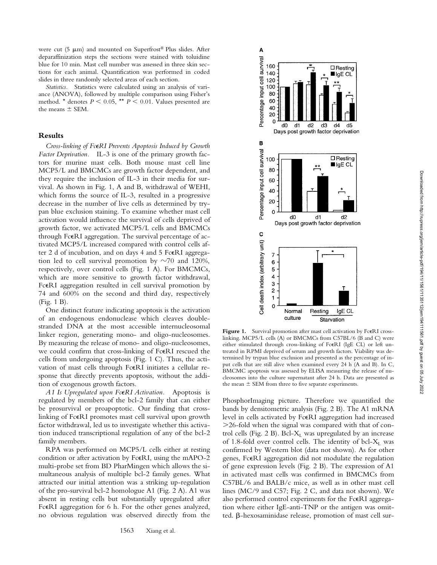were cut  $(5 \mu m)$  and mounted on Superfrost® Plus slides. After deparaffinization steps the sections were stained with toluidine blue for 10 min. Mast cell number was assessed in three skin sections for each animal. Quantification was performed in coded slides in three randomly selected areas of each section.

*Statistics.* Statistics were calculated using an analysis of variance (ANOVA), followed by multiple comparison using Fisher's method. \* denotes  $P \le 0.05$ , \*\*  $P \le 0.01$ . Values presented are the means  $\pm$  SEM.

#### **Results**

*Cross-linking of Fc*-*RI Prevents Apoptosis Induced by Growth Factor Deprivation.* IL-3 is one of the primary growth factors for murine mast cells. Both mouse mast cell line MCP5/L and BMCMCs are growth factor dependent, and they require the inclusion of IL-3 in their media for survival. As shown in Fig. 1, A and B, withdrawal of WEHI, which forms the source of IL-3, resulted in a progressive decrease in the number of live cells as determined by trypan blue exclusion staining. To examine whether mast cell activation would influence the survival of cells deprived of growth factor, we activated MCP5/L cells and BMCMCs through Fc $\epsilon$ RI aggregation. The survival percentage of activated MCP5/L increased compared with control cells after 2 d of incubation, and on days 4 and 5 FcERI aggregation led to cell survival promotion by  $\sim$ 70 and 120%, respectively, over control cells (Fig. 1 A). For BMCMCs, which are more sensitive to growth factor withdrawal, FceRI aggregation resulted in cell survival promotion by 74 and 600% on the second and third day, respectively (Fig. 1 B).

One distinct feature indicating apoptosis is the activation of an endogenous endonuclease which cleaves doublestranded DNA at the most accessible internucleosomal linker region, generating mono- and oligo-nucleosomes. By measuring the release of mono- and oligo-nucleosomes, we could confirm that cross-linking of FcERI rescued the cells from undergoing apoptosis (Fig. 1 C). Thus, the activation of mast cells through FcERI initiates a cellular response that directly prevents apoptosis, without the addition of exogenous growth factors.

A1 Is Upregulated upon Fc $\epsilon$ RI Activation. Apoptosis is regulated by members of the bcl-2 family that can either be prosurvival or proapoptotic. Our finding that crosslinking of Fc $\epsilon$ RI promotes mast cell survival upon growth factor withdrawal, led us to investigate whether this activation induced transcriptional regulation of any of the bcl-2 family members.

RPA was performed on MCP5/L cells either at resting condition or after activation by FceRI, using the mAPO-2 multi-probe set from BD PharMingen which allows the simultaneous analysis of multiple bcl-2 family genes. What attracted our initial attention was a striking up-regulation of the pro-survival bcl-2 homologue A1 (Fig. 2 A). A1 was absent in resting cells but substantially upregulated after FceRI aggregation for 6 h. For the other genes analyzed, no obvious regulation was observed directly from the



Figure 1. Survival promotion after mast cell activation by FcERI crosslinking. MCP5/L cells (A) or BMCMCs from C57BL/6 (B and C) were either stimulated through cross-linking of FceRI (IgE CL) or left untreated in RPMI deprived of serum and growth factors. Viability was determined by trypan blue exclusion and presented as the percentage of input cells that are still alive when examined every 24 h (A and B). In C, BMCMC apoptosis was assessed by ELISA measuring the release of nucleosomes into the culture supernatant after 24 h. Data are presented as the mean  $\pm$  SEM from three to five separate experiments.

PhosphorImaging picture. Therefore we quantified the bands by densitometric analysis (Fig. 2 B). The A1 mRNA level in cells activated by FceRI aggregation had increased 26-fold when the signal was compared with that of control cells (Fig.  $2 B$ ). Bcl- $X_L$  was upregulated by an increase of 1.8-fold over control cells. The identity of bcl- $X_L$  was confirmed by Western blot (data not shown). As for other genes, Fc $\epsilon$ RI aggregation did not modulate the regulation of gene expression levels (Fig. 2 B). The expression of A1 in activated mast cells was confirmed in BMCMCs from C57BL/6 and BALB/c mice, as well as in other mast cell lines (MC/9 and C57; Fig. 2 C, and data not shown). We also performed control experiments for the FcERI aggregation where either IgE-anti-TNP or the antigen was omitted.  $\beta$ -hexosaminidase release, promotion of mast cell sur-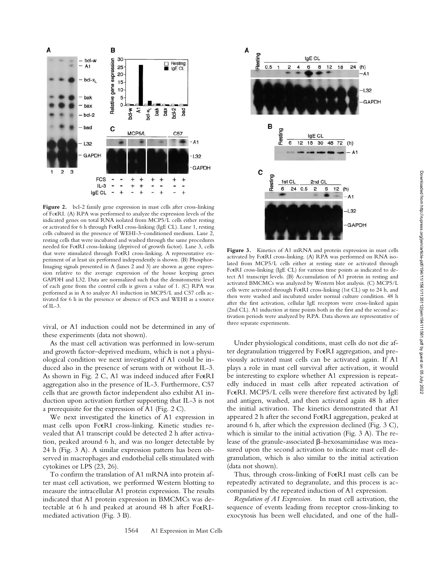

Figure 2. bcl-2 family gene expression in mast cells after cross-linking of FcERI. (A) RPA was performed to analyze the expression levels of the indicated genes on total RNA isolated from MCP5/L cells either resting or activated for 6 h through FceRI cross-linking (IgE CL). Lane 1, resting cells cultured in the presence of WEHI-3–conditioned medium. Lane 2, resting cells that were incubated and washed through the same procedures needed for FceRI cross-linking (deprived of growth factor). Lane 3, cells that were stimulated through FcERI cross-linking. A representative experiment of at least six performed independently is shown. (B) Phosphor-Imaging signals presented in A (lanes 2 and 3) are shown as gene expression relative to the average expression of the house keeping genes GAPDH and L32. Data are normalized such that the densitometric level of each gene from the control cells is given a value of 1. (C) RPA was performed as in A to analyze A1 induction in MCP5/L and C57 cells activated for 6 h in the presence or absence of FCS and WEHI as a source of  $II - 3$ .

vival, or A1 induction could not be determined in any of these experiments (data not shown).

As the mast cell activation was performed in low-serum and growth factor–deprived medium, which is not a physiological condition we next investigated if A1 could be induced also in the presence of serum with or without IL-3. As shown in Fig. 2 C, A1 was indeed induced after FcERI aggregation also in the presence of IL-3. Furthermore, C57 cells that are growth factor independent also exhibit A1 induction upon activation further supporting that IL-3 is not a prerequisite for the expression of A1 (Fig. 2 C).

We next investigated the kinetics of A1 expression in mast cells upon FcERI cross-linking. Kinetic studies revealed that A1 transcript could be detected 2 h after activation, peaked around 6 h, and was no longer detectable by 24 h (Fig. 3 A). A similar expression pattern has been observed in macrophages and endothelial cells stimulated with cytokines or LPS (23, 26).

To confirm the translation of A1 mRNA into protein after mast cell activation, we performed Western blotting to measure the intracellular A1 protein expression. The results indicated that A1 protein expression in BMCMCs was detectable at 6 h and peaked at around 48 h after FcERImediated activation (Fig. 3 B).



Figure 3. Kinetics of A1 mRNA and protein expression in mast cells activated by FceRI cross-linking. (A) RPA was performed on RNA isolated from MCP5/L cells either at resting state or activated through FceRI cross-linking (IgE CL) for various time points as indicated to detect A1 transcript levels. (B) Accumulation of A1 protein in resting and activated BMCMCs was analyzed by Western blot analysis. (C) MCP5/L cells were activated through Fc $\epsilon$ RI cross-linking (1st CL) up to 24 h, and then were washed and incubated under normal culture condition. 48 h after the first activation, cellular IgE receptors were cross-linked again (2nd CL). A1 induction at time points both in the first and the second activation periods were analyzed by RPA. Data shown are representative of three separate experiments.

Under physiological conditions, mast cells do not die after degranulation triggered by FcERI aggregation, and previously activated mast cells can be activated again. If A1 plays a role in mast cell survival after activation, it would be interesting to explore whether A1 expression is repeatedly induced in mast cells after repeated activation of FceRI. MCP5/L cells were therefore first activated by IgE and antigen, washed, and then activated again 48 h after the initial activation. The kinetics demonstrated that A1 appeared 2 h after the second FceRI aggregation, peaked at around 6 h, after which the expression declined (Fig. 3 C), which is similar to the initial activation (Fig. 3 A). The release of the granule-associated  $\beta$ -hexosaminidase was measured upon the second activation to indicate mast cell degranulation, which is also similar to the initial activation (data not shown).

Thus, through cross-linking of FcERI mast cells can be repeatedly activated to degranulate, and this process is accompanied by the repeated induction of A1 expression.

*Regulation of A1 Expression.* In mast cell activation, the sequence of events leading from receptor cross-linking to exocytosis has been well elucidated, and one of the hall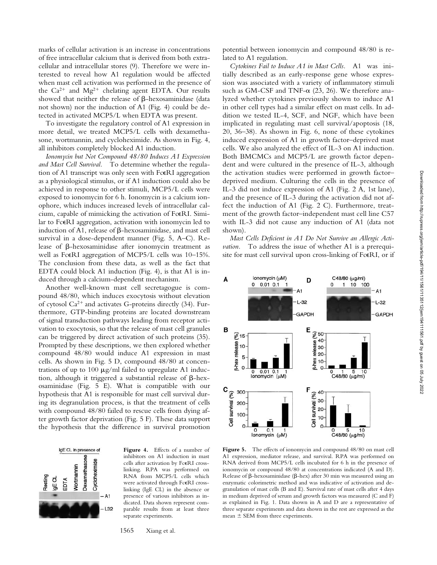marks of cellular activation is an increase in concentrations of free intracellular calcium that is derived from both extracellular and intracellular stores (9). Therefore we were interested to reveal how A1 regulation would be affected when mast cell activation was performed in the presence of the  $Ca^{2+}$  and  $Mg^{2+}$  chelating agent EDTA. Our results showed that neither the release of  $\beta$ -hexosaminidase (data not shown) nor the induction of A1 (Fig. 4) could be detected in activated MCP5/L when EDTA was present.

To investigate the regulatory control of A1 expression in more detail, we treated MCP5/L cells with dexamethasone, wortmannin, and cycloheximide. As shown in Fig. 4, all inhibitors completely blocked A1 induction.

*Ionomycin but Not Compound 48/80 Induces A1 Expression and Mast Cell Survival.* To determine whether the regulation of A1 transcript was only seen with FcERI aggregation as a physiological stimulus, or if A1 induction could also be achieved in response to other stimuli, MCP5/L cells were exposed to ionomycin for 6 h. Ionomycin is a calcium ionophore, which induces increased levels of intracellular calcium, capable of mimicking the activation of FcERI. Similar to Fc $\epsilon$ RI aggregation, activation with ionomycin led to induction of A1, release of  $\beta$ -hexosaminidase, and mast cell survival in a dose-dependent manner (Fig. 5, A–C). Release of  $\beta$ -hexosaminidase after ionomycin treatment as well as FcERI aggregation of MCP5/L cells was 10-15%. The conclusion from these data, as well as the fact that EDTA could block A1 induction (Fig. 4), is that A1 is induced through a calcium-dependent mechanism.

Another well-known mast cell secretagogue is compound 48/80, which induces exocytosis without elevation of cytosol  $Ca^{2+}$  and activates G-proteins directly (34). Furthermore, GTP-binding proteins are located downstream of signal transduction pathways leading from receptor activation to exocytosis, so that the release of mast cell granules can be triggered by direct activation of such proteins (35). Prompted by these descriptions, we then explored whether compound 48/80 would induce A1 expression in mast cells. As shown in Fig. 5 D, compound 48/80 at concentrations of up to 100  $\mu$ g/ml failed to upregulate A1 induction, although it triggered a substantial release of  $\beta$ -hexosaminidase (Fig. 5 E). What is compatible with our hypothesis that A1 is responsible for mast cell survival during its degranulation process, is that the treatment of cells with compound 48/80 failed to rescue cells from dying after growth factor deprivation (Fig. 5 F). These data support the hypothesis that the difference in survival promotion



**Figure 4.** Effects of a number of inhibitors on A1 induction in mast cells after activation by FceRI crosslinking. RPA was performed on RNA from MCP5/L cells which were activated through FcERI crosslinking (IgE CL) in the absence or presence of various inhibitors as indicated. Data shown represent comparable results from at least three separate experiments.

1565 Xiang et al.

potential between ionomycin and compound 48/80 is related to A1 regulation.

*Cytokines Fail to Induce A1 in Mast Cells.* A1 was initially described as an early-response gene whose expression was associated with a variety of inflammatory stimuli such as GM-CSF and TNF- $\alpha$  (23, 26). We therefore analyzed whether cytokines previously shown to induce A1 in other cell types had a similar effect on mast cells. In addition we tested IL-4, SCF, and NGF, which have been implicated in regulating mast cell survival/apoptosis (18, 20, 36–38). As shown in Fig. 6, none of these cytokines induced expression of A1 in growth factor–deprived mast cells. We also analyzed the effect of IL-3 on A1 induction. Both BMCMCs and MCP5/L are growth factor dependent and were cultured in the presence of IL-3, although the activation studies were performed in growth factor– deprived medium. Culturing the cells in the presence of IL-3 did not induce expression of A1 (Fig. 2 A, 1st lane), and the presence of IL-3 during the activation did not affect the induction of A1 (Fig. 2 C). Furthermore, treatment of the growth factor–independent mast cell line C57 with IL-3 did not cause any induction of A1 (data not shown).

*Mast Cells Deficient in A1 Do Not Survive an Allergic Activation.* To address the issue of whether A1 is a prerequisite for mast cell survival upon cross-linking of FcERI, or if



Figure 5. The effects of ionomycin and compound 48/80 on mast cell A1 expression, mediator release, and survival. RPA was performed on RNA derived from MCP5/L cells incubated for 6 h in the presence of ionomycin or compound 48/80 at concentrations indicated (A and D). Release of  $\beta$ -hexosaminidase ( $\beta$ -hex) after 30 min was measured using an enzymatic colorimetric method and was indicative of activation and degranulation of mast cells (B and E). Survival rate of mast cells after 4 days in medium deprived of serum and growth factors was measured (C and F) as explained in Fig. 1. Data shown in A and D are a representative of three separate experiments and data shown in the rest are expressed as the mean SEM from three experiments.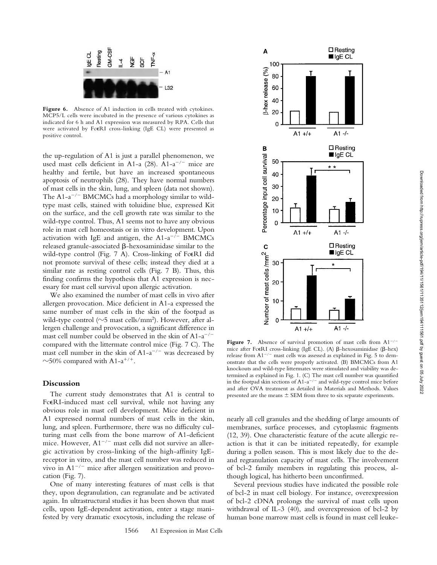

Figure 6. Absence of A1 induction in cells treated with cytokines. MCP5/L cells were incubated in the presence of various cytokines as indicated for 6 h and A1 expression was measured by RPA. Cells that were activated by FcERI cross-linking (IgE CL) were presented as positive control.

the up-regulation of A1 is just a parallel phenomenon, we used mast cells deficient in A1-a  $(28)$ . A1-a<sup>-/-</sup> mice are healthy and fertile, but have an increased spontaneous apoptosis of neutrophils (28). They have normal numbers of mast cells in the skin, lung, and spleen (data not shown). The  $A1-a^{-/-}$  BMCMCs had a morphology similar to wildtype mast cells, stained with toluidine blue, expressed Kit on the surface, and the cell growth rate was similar to the wild-type control. Thus, A1 seems not to have any obvious role in mast cell homeostasis or in vitro development. Upon activation with IgE and antigen, the  $A1-a^{-/-}$  BMCMCs released granule-associated  $\beta$ -hexosaminidase similar to the wild-type control (Fig. 7 A). Cross-linking of FcERI did not promote survival of these cells; instead they died at a similar rate as resting control cells (Fig. 7 B). Thus, this finding confirms the hypothesis that A1 expression is necessary for mast cell survival upon allergic activation.

We also examined the number of mast cells in vivo after allergen provocation. Mice deficient in A1-a expressed the same number of mast cells in the skin of the footpad as wild-type control ( $\sim$ 5 mast cells/mm<sup>2</sup>). However, after allergen challenge and provocation, a significant difference in mast cell number could be observed in the skin of  $A1-a^{-/-}$ compared with the littermate control mice (Fig. 7 C). The mast cell number in the skin of  $A1-a^{-/-}$  was decreased by  $\sim$ 50% compared with A1-a<sup>+/+</sup>.

## **Discussion**

The current study demonstrates that A1 is central to FcERI-induced mast cell survival, while not having any obvious role in mast cell development. Mice deficient in A1 expressed normal numbers of mast cells in the skin, lung, and spleen. Furthermore, there was no difficulty culturing mast cells from the bone marrow of A1-deficient mice. However,  $A1^{-/-}$  mast cells did not survive an allergic activation by cross-linking of the high-affinity IgEreceptor in vitro, and the mast cell number was reduced in vivo in  $A1^{-/-}$  mice after allergen sensitization and provocation (Fig. 7).

One of many interesting features of mast cells is that they, upon degranulation, can regranulate and be activated again. In ultrastructural studies it has been shown that mast cells, upon IgE-dependent activation, enter a stage manifested by very dramatic exocytosis, including the release of



**Figure 7.** Absence of survival promotion of mast cells from  $A1^{-/-}$ mice after FceRI cross-linking (IgE CL). (A)  $\beta$ -hexosaminidase ( $\beta$ -hex) release from  $A1^{-/-}$  mast cells was assessed as explained in Fig. 5 to demonstrate that the cells were properly activated. (B) BMCMCs from A1 knockouts and wild-type littermates were stimulated and viability was determined as explained in Fig. 1. (C) The mast cell number was quantified in the footpad skin sections of  $A1-a^{-/-}$  and wild-type control mice before and after OVA treatment as detailed in Materials and Methods. Values presented are the means  $\pm$  SEM from three to six separate experiments.

nearly all cell granules and the shedding of large amounts of membranes, surface processes, and cytoplasmic fragments (12, 39). One characteristic feature of the acute allergic reaction is that it can be initiated repeatedly, for example during a pollen season. This is most likely due to the deand regranulation capacity of mast cells. The involvement of bcl-2 family members in regulating this process, although logical, has hitherto been unconfirmed.

Several previous studies have indicated the possible role of bcl-2 in mast cell biology. For instance, overexpression of bcl-2 cDNA prolongs the survival of mast cells upon withdrawal of IL-3 (40), and overexpression of bcl-2 by human bone marrow mast cells is found in mast cell leuke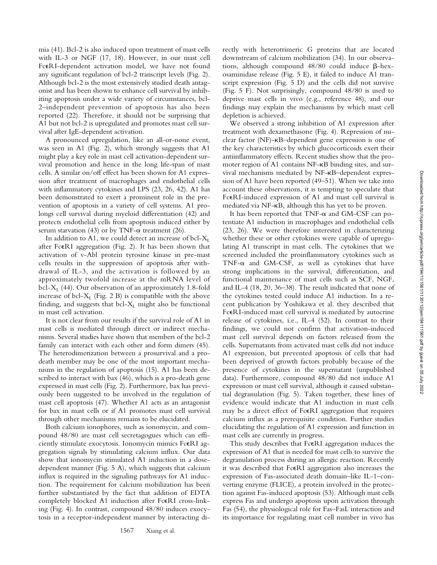mia (41). Bcl-2 is also induced upon treatment of mast cells with IL-3 or NGF (17, 18). However, in our mast cell FceRI-dependent activation model, we have not found any significant regulation of bcl-2 transcript levels (Fig. 2). Although bcl-2 is the most extensively studied death antagonist and has been shown to enhance cell survival by inhibiting apoptosis under a wide variety of circumstances, bcl-2–independent prevention of apoptosis has also been reported (22). Therefore, it should not be surprising that A1 but not bcl-2 is upregulated and promotes mast cell survival after IgE-dependent activation.

A pronounced upregulation, like an all-or-none event, was seen in A1 (Fig. 2), which strongly suggests that A1 might play a key role in mast cell activation-dependent survival promotion and hence in the long life-span of mast cells. A similar on/off effect has been shown for A1 expression after treatment of macrophages and endothelial cells with inflammatory cytokines and LPS (23, 26, 42). A1 has been demonstrated to exert a prominent role in the prevention of apoptosis in a variety of cell systems. A1 prolongs cell survival during myeloid differentiation (42) and protects endothelial cells from apoptosis induced either by serum starvation (43) or by TNF- $\alpha$  treatment (26).

In addition to A1, we could detect an increase of bcl- $X_L$ after Fc $\epsilon$ RI aggregation (Fig. 2). It has been shown that activation of v-Abl protein tyrosine kinase in pre-mast cells results in the suppression of apoptosis after withdrawal of IL-3, and the activation is followed by an approximately twofold increase at the mRNA level of bcl- $X_L$  (44). Our observation of an approximately 1.8-fold increase of bcl- $X_L$  (Fig. 2 B) is compatible with the above finding, and suggests that  $\text{bcl-}X_L$  might also be functional in mast cell activation.

It is not clear from our results if the survival role of A1 in mast cells is mediated through direct or indirect mechanisms. Several studies have shown that members of the bcl-2 family can interact with each other and form dimers (45). The heterodimerization between a prosurvival and a prodeath member may be one of the most important mechanisms in the regulation of apoptosis (15). A1 has been described to interact with bax (46), which is a pro-death gene expressed in mast cells (Fig. 2). Furthermore, bax has previously been suggested to be involved in the regulation of mast cell apoptosis (47). Whether A1 acts as an antagonist for bax in mast cells or if A1 promotes mast cell survival through other mechanisms remains to be elucidated.

Both calcium ionophores, such as ionomycin, and compound 48/80 are mast cell secretagogues which can efficiently stimulate exocytosis. Ionomycin mimics FcERI aggregation signals by stimulating calcium influx. Our data show that ionomycin stimulated A1 induction in a dosedependent manner (Fig. 5 A), which suggests that calcium influx is required in the signaling pathways for A1 induction. The requirement for calcium mobilization has been further substantiated by the fact that addition of EDTA completely blocked A1 induction after FceRI cross-linking (Fig. 4). In contrast, compound 48/80 induces exocytosis in a receptor-independent manner by interacting directly with heterotrimeric G proteins that are located downstream of calcium mobilization (34). In our observations, although compound  $48/80$  could induce  $\beta$ -hexosaminidase release (Fig. 5 E), it failed to induce A1 transcript expression (Fig. 5 D) and the cells did not survive (Fig. 5 F). Not surprisingly, compound 48/80 is used to deprive mast cells in vivo (e.g., reference 48), and our findings may explain the mechanisms by which mast cell depletion is achieved.

We observed a strong inhibition of A1 expression after treatment with dexamethasone (Fig. 4). Repression of nuclear factor (NF)- B–dependent gene expression is one of the key characteristics by which glucocorticoids exert their antiinflammatory effects. Recent studies show that the promoter region of A1 contains NF- $\kappa$ B binding sites, and survival mechanisms mediated by NF- B–dependent expression of A1 have been reported (49–51). When we take into account these observations, it is tempting to speculate that FceRI-induced expression of A1 and mast cell survival is mediated via NF- B, although this has yet to be proven.

It has been reported that  $TNF-\alpha$  and  $GM-CSF$  can potentiate A1 induction in macrophages and endothelial cells (23, 26). We were therefore interested in characterizing whether these or other cytokines were capable of upregulating A1 transcript in mast cells. The cytokines that we screened included the proinflammatory cytokines such as TNF- $\alpha$  and GM-CSF, as well as cytokines that have strong implications in the survival, differentiation, and functional maintenance of mast cells such as SCF, NGF, and IL-4 (18, 20, 36–38). The result indicated that none of the cytokines tested could induce A1 induction. In a recent publication by Yoshikawa et al. they described that FceRI-induced mast cell survival is mediated by autocrine release of cytokines, i.e., IL-4 (52). In contrast to their findings, we could not confirm that activation-induced mast cell survival depends on factors released from the cells. Supernatants from activated mast cells did not induce A1 expression, but prevented apoptosis of cells that had been deprived of growth factors probably because of the presence of cytokines in the supernatant (unpublished data). Furthermore, compound 48/80 did not induce A1 expression or mast cell survival, although it caused substantial degranulation (Fig. 5). Taken together, these lines of evidence would indicate that A1 induction in mast cells may be a direct effect of FceRI aggregation that requires calcium influx as a prerequisite condition. Further studies elucidating the regulation of A1 expression and function in mast cells are currently in progress.

This study describes that FceRI aggregation induces the expression of A1 that is needed for mast cells to survive the degranulation process during an allergic reaction. Recently it was described that FcERI aggregation also increases the expression of Fas-associated death domain–like IL-1–converting enzyme (FLICE), a protein involved in the protection against Fas-induced apoptosis (53). Although mast cells express Fas and undergo apoptosis upon activation through Fas (54), the physiological role for Fas–FasL interaction and its importance for regulating mast cell number in vivo has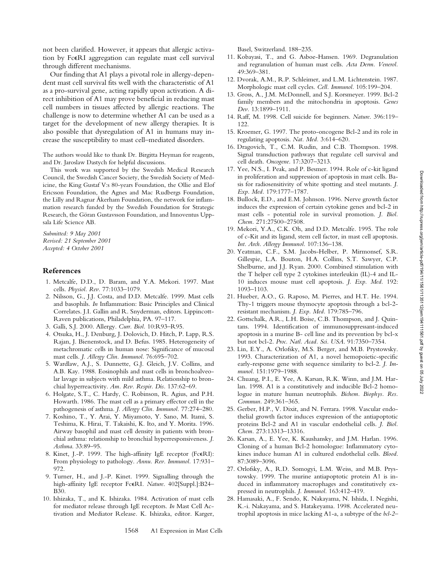not been clarified. However, it appears that allergic activation by FceRI aggregation can regulate mast cell survival through different mechanisms. Our finding that A1 plays a pivotal role in allergy-depen-

dent mast cell survival fits well with the characteristic of A1 as a pro-survival gene, acting rapidly upon activation. A direct inhibition of A1 may prove beneficial in reducing mast cell numbers in tissues affected by allergic reactions. The challenge is now to determine whether A1 can be used as a target for the development of new allergy therapies. It is also possible that dysregulation of A1 in humans may increase the susceptibility to mast cell–mediated disorders.

The authors would like to thank Dr. Birgitta Heyman for reagents, and Dr. Jaroslaw Dastych for helpful discussions.

This work was supported by the Swedish Medical Research Council, the Swedish Cancer Society, the Swedish Society of Medicine, the King Gustaf V:s 80-years Foundation, the Ollie and Elof Ericsson Foundation, the Agnes and Mac Rudbergs Foundation, the Lilly and Ragnar Åkerham Foundation, the network for inflammation research funded by the Swedish Foundation for Strategic Research, the Göran Gustavsson Foundation, and Innoventus Uppsala Life Science AB.

*Submitted: 9 May 2001 Revised: 21 September 2001 Accepted: 4 October 2001*

## **References**

- 1. Metcalfe, D.D., D. Baram, and Y.A. Mekori. 1997. Mast cells. *Physiol. Rev.* 77:1033–1079.
- 2. Nilsson, G., J.J. Costa, and D.D. Metcalfe. 1999. Mast cells and basophils. *In* Inflammation: Basic Principles and Clinical Correlates. J.I. Gallin and R. Snyderman, editors. Lippincott-Raven publications, Philadelphia, PA. 97–117.
- 3. Galli, S.J. 2000. Allergy. *Curr. Biol.* 10:R93–R95.
- 4. Otsuka, H., J. Denburg, J. Dolovich, D. Hitch, P. Lapp, R.S. Rajan, J. Bienenstock, and D. Befus. 1985. Heterogeneity of metachromatic cells in human nose: Significance of mucosal mast cells. *J. Allergy Clin. Immunol.* 76:695–702.
- 5. Wardlaw, A.J., S. Dunnette, G.J. Gleich, J.V. Collins, and A.B. Kay. 1988. Eosinophils and mast cells in bronchoalveolar lavage in subjects with mild asthma. Relationship to bronchial hyperreactivity. *Am. Rev. Respir. Dis.* 137:62–69.
- 6. Holgate, S.T., C. Hardy, C. Robinson, R. Agius, and P.H. Howarth. 1986. The mast cell as a primary effector cell in the pathogenesis of asthma. *J. Allergy Clin. Immunol.* 77:274–280.
- 7. Koshino, T., Y. Arai, Y. Miyamoto, Y. Sano, M. Itami, S. Teshima, K. Hirai, T. Takaishi, K. Ito, and Y. Morita. 1996. Airway basophil and mast cell density in patients with bronchial asthma: relationship to bronchial hyperresponsiveness. *J. Asthma*. 33:89–95.
- 8. Kinet, J.-P. 1999. The high-affinity IgE receptor (FcERI): From physiology to pathology. *Annu. Rev. Immunol.* 17:931– 972.
- 9. Turner, H., and J.-P. Kinet. 1999. Signalling through the high-affinity IgE receptor FceRI. Nature. 402[Suppl.]:B24-B30.
- 10. Ishizaka, T., and K. Ishizaka. 1984. Activation of mast cells for mediator release through IgE receptors. *In* Mast Cell Activation and Mediator Release*.* K. Ishizaka, editor. Karger,

Basel, Switzerland. 188–235.

- 11. Kobayasi, T., and G. Asboe-Hansen. 1969. Degranulation and regranulation of human mast cells. *Acta Derm. Venerol.* 49:369–381.
- 12. Dvorak, A.M., R.P. Schleimer, and L.M. Lichtenstein. 1987. Morphologic mast cell cycles. *Cell. Immunol.* 105:199–204.
- 13. Gross, A., J.M. McDonnell, and S.J. Korsmeyer. 1999. Bcl-2 family members and the mitochondria in apoptosis. *Genes Dev.* 13:1899–1911.
- 14. Raff, M. 1998. Cell suicide for beginners. *Nature*. 396:119– 122.
- 15. Kroemer, G. 1997. The proto-oncogene Bcl-2 and its role in regulating apoptosis. *Nat. Med.* 3:614–620.
- 16. Dragovich, T., C.M. Rudin, and C.B. Thompson. 1998. Signal transduction pathways that regulate cell survival and cell death. *Oncogene*. 17:3207–3213.
- 17. Yee, N.S., I. Peak, and P. Besmer. 1994. Role of c-kit ligand in proliferation and suppression of apoptosis in mast cells. Basis for radiosensitivity of white spotting and steel mutants. *J. Exp. Med.* 179:1777–1787.
- 18. Bullock, E.D., and E.M. Johnson. 1996. Nerve growth factor induces the expression of certain cytokine genes and bcl-2 in mast cells - potential role in survival promotion. *J. Biol. Chem.* 271:27500–27508.
- 19. Mekori, Y.A., C.K. Oh, and D.D. Metcalfe. 1995. The role of c-Kit and its ligand, stem cell factor, in mast cell apoptosis. *Int. Arch. Allergy Immunol.* 107:136–138.
- 20. Yeatman, C.F., S.M. Jacobs-Helber, P. Mirmonsef, S.R. Gillespie, L.A. Bouton, H.A. Collins, S.T. Sawyer, C.P. Shelburne, and J.J. Ryan. 2000. Combined stimulation with the T helper cell type 2 cytokines interleukin (IL)-4 and IL-10 induces mouse mast cell apoptosis. *J. Exp. Med.* 192: 1093–1103.
- 21. Hueber, A.O., G. Raposo, M. Pierres, and H.T. He. 1994. Thy-1 triggers mouse thymocyte apoptosis through a bcl-2 resistant mechanism. *J. Exp. Med.* 179:785–796.
- 22. Gottschalk, A.R., L.H. Boise, C.B. Thompson, and J. Quintans. 1994. Identification of immunosuppressant-induced apoptosis in a murine B- cell line and its prevention by bcl-x but not bcl-2. *Proc. Natl. Acad. Sci. USA*. 91:7350–7354.
- 23. Lin, E.Y., A. Orlofsky, M.S. Berger, and M.B. Prystowsky. 1993. Characterization of A1, a novel hemopoietic-specific early-response gene with sequence similarity to bcl-2. *J. Immunol.* 151:1979–1988.
- 24. Chuang, P.I., E. Yee, A. Karsan, R.K. Winn, and J.M. Harlan. 1998. A1 is a constitutively and inducible Bcl-2 homologue in mature human neutrophils. *Bichem. Biophys. Res. Commun.* 249:361–365.
- 25. Gerber, H.P., V. Dixit, and N. Ferrara. 1998. Vascular endothelial growth factor induces expression of the antiapoptotic proteins Bcl-2 and A1 in vascular endothelial cells. *J. Biol. Chem.* 273:13313–13316.
- 26. Karsan, A., E. Yee, K. Kaushansky, and J.M. Harlan. 1996. Cloning of a human Bcl-2 homologue: Inflammatory cytokines induce human A1 in cultured endothelial cells. *Blood*. 87:3089–3096.
- 27. Orlofsky, A., R.D. Somogyi, L.M. Weiss, and M.B. Prystowsky. 1999. The murine antiapoptotic protein A1 is induced in inflammatory macrophages and constitutively expressed in neutrophils. *J. Immunol.* 163:412–419.
- 28. Hamasaki, A., F. Sendo, K. Nakayama, N. Ishida, I. Negishi, K.-i. Nakayama, and S. Hatakeyama. 1998. Accelerated neutrophil apoptosis in mice lacking A1-a, a subtype of the *bcl-2*–